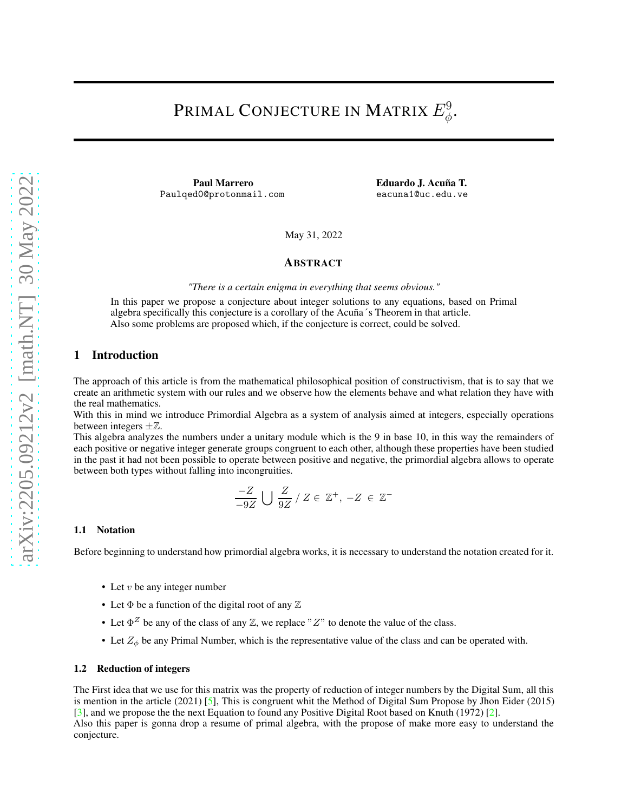## Primal Conjecture in Matrix  $E_\phi^9$ φ .

Paul Marrero Paulqed0@protonmail.com Eduardo J. Acuña T. eacuna1@uc.edu.ve

May 31, 2022

#### ABSTRACT

*"There is a certain enigma in everything that seems obvious."*

In this paper we propose a conjecture about integer solutions to any equations, based on Primal algebra specifically this conjecture is a corollary of the Acuña´s Theorem in that article. Also some problems are proposed which, if the conjecture is correct, could be solved.

## 1 Introduction

The approach of this article is from the mathematical philosophical position of constructivism, that is to say that we create an arithmetic system with our rules and we observe how the elements behave and what relation they have with the real mathematics.

With this in mind we introduce Primordial Algebra as a system of analysis aimed at integers, especially operations between integers  $\pm \mathbb{Z}$ .

This algebra analyzes the numbers under a unitary module which is the 9 in base 10, in this way the remainders of each positive or negative integer generate groups congruent to each other, although these properties have been studied in the past it had not been possible to operate between positive and negative, the primordial algebra allows to operate between both types without falling into incongruities.

$$
\frac{-Z}{-9Z} \bigcup \frac{Z}{9Z} / Z \in \mathbb{Z}^+, -Z \in \mathbb{Z}^-
$$

#### 1.1 Notation

Before beginning to understand how primordial algebra works, it is necessary to understand the notation created for it.

- Let  $v$  be any integer number
- Let  $\Phi$  be a function of the digital root of any  $\mathbb Z$
- Let  $\Phi^Z$  be any of the class of any  $\mathbb Z$ , we replace " $Z$ " to denote the value of the class.
- Let  $Z_{\phi}$  be any Primal Number, which is the representative value of the class and can be operated with.

#### 1.2 Reduction of integers

conjecture.

The First idea that we use for this matrix was the property of reduction of integer numbers by the Digital Sum, all this is mention in the article (2021) [\[5\]](#page-11-0), This is congruent whit the Method of Digital Sum Propose by Jhon Eider (2015) [\[3](#page-11-1)], and we propose the the next Equation to found any Positive Digital Root based on Knuth (1972) [\[2](#page-11-2)]. Also this paper is gonna drop a resume of primal algebra, with the propose of make more easy to understand the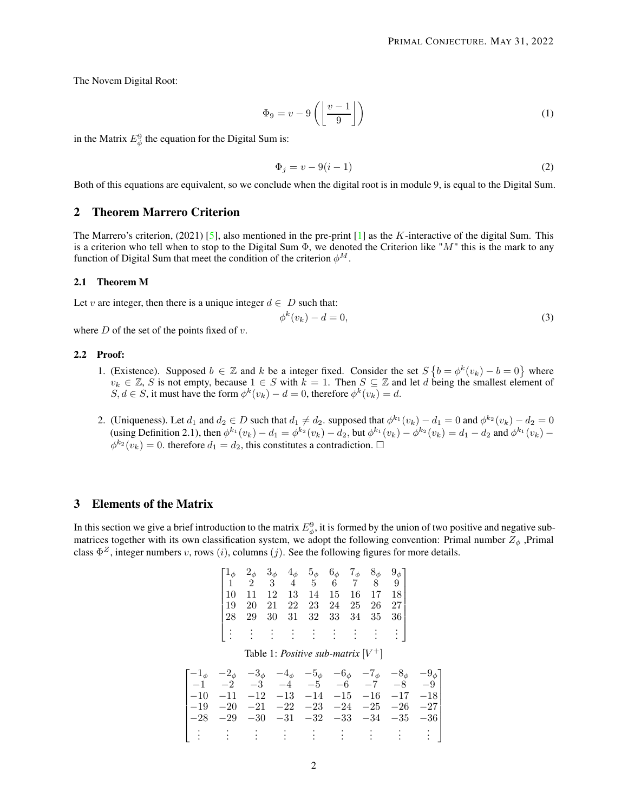<span id="page-1-0"></span>The Novem Digital Root:

$$
\Phi_9 = v - 9\left(\left\lfloor \frac{v-1}{9} \right\rfloor\right) \tag{1}
$$

<span id="page-1-1"></span>in the Matrix  $E^9_\phi$  the equation for the Digital Sum is:

$$
\Phi_j = v - 9(i - 1) \tag{2}
$$

Both of this equations are equivalent, so we conclude when the digital root is in module 9, is equal to the Digital Sum.

#### 2 Theorem Marrero Criterion

The Marrero's criterion,  $(2021)$  [\[5](#page-11-0)], also mentioned in the pre-print [1] as the K-interactive of the digital Sum. This is a criterion who tell when to stop to the Digital Sum  $\Phi$ , we denoted the Criterion like " $M$ " this is the mark to any function of Digital Sum that meet the condition of the criterion  $\phi^M$ .

#### 2.1 Theorem M

Let v are integer, then there is a unique integer  $d \in D$  such that:

$$
\phi^k(v_k) - d = 0,\tag{3}
$$

where  $D$  of the set of the points fixed of  $v$ .

### 2.2 Proof:

- 1. (Existence). Supposed  $b \in \mathbb{Z}$  and k be a integer fixed. Consider the set  $S\{b = \phi^k(v_k) b = 0\}$  where  $v_k \in \mathbb{Z}$ , S is not empty, because  $1 \in S$  with  $k = 1$ . Then  $S \subseteq \mathbb{Z}$  and let d being the smallest element of S,  $d \in S$ , it must have the form  $\phi^k(v_k) - d = 0$ , therefore  $\phi^k(v_k) = d$ .
- 2. (Uniqueness). Let  $d_1$  and  $d_2 \in D$  such that  $d_1 \neq d_2$ . supposed that  $\phi^{k_1}(v_k) d_1 = 0$  and  $\phi^{k_2}(v_k) d_2 = 0$ (using Definition 2.1), then  $\phi^{k_1}(v_k) - d_1 = \phi^{k_2}(v_k) - d_2$ , but  $\phi^{k_1}(v_k) - \phi^{k_2}(v_k) = d_1 - d_2$  and  $\phi^{k_1}(v_k) - d_2$  $\phi^{k_2}(v_k) = 0$ . therefore  $d_1 = d_2$ , this constitutes a contradiction.  $\Box$

## 3 Elements of the Matrix

In this section we give a brief introduction to the matrix  $E^9_\phi$ , it is formed by the union of two positive and negative submatrices together with its own classification system, we adopt the following convention: Primal number  $Z_{\phi}$ , Primal class  $\Phi^Z$ , integer numbers v, rows (i), columns (j). See the following figures for more details.

| $\begin{bmatrix} 1_\phi & 2_\phi & 3_\phi & 4_\phi & 5_\phi & 6_\phi & 7_\phi & 8_\phi & 9_\phi \\ 1 & 2 & 3 & 4 & 5 & 6 & 7 & 8 & 9 \\ 10 & 11 & 12 & 13 & 14 & 15 & 16 & 17 & 18 \\ 19 & 20 & 21 & 22 & 23 & 24 & 25 & 26 & 27 \\ 28 & 29 & 30 & 31 & 32 & 33 & 34 & 35 & 36 \end{bmatrix}$ |  |  |  |                                               |
|-----------------------------------------------------------------------------------------------------------------------------------------------------------------------------------------------------------------------------------------------------------------------------------------------|--|--|--|-----------------------------------------------|
|                                                                                                                                                                                                                                                                                               |  |  |  | $[1 \ 1 \ 1 \ 1 \ 1 \ 1 \ 1 \ 1 \ 1 \ 1 \ 1]$ |
|                                                                                                                                                                                                                                                                                               |  |  |  |                                               |
|                                                                                                                                                                                                                                                                                               |  |  |  |                                               |

Table 1: *Positive sub-matrix* [V +]

|  |  |  |  | $\begin{bmatrix} -1_\phi & -2_\phi & -3_\phi & -4_\phi & -5_\phi & -6_\phi & -7_\phi & -8_\phi & -9_\phi \end{bmatrix}$ |
|--|--|--|--|-------------------------------------------------------------------------------------------------------------------------|
|  |  |  |  | $\begin{vmatrix} -1 & -2 & -3 & -4 & -5 & -6 & -7 & -8 & -9 \end{vmatrix}$                                              |
|  |  |  |  | $-10$ $-11$ $-12$ $-13$ $-14$ $-15$ $-16$ $-17$ $-18$                                                                   |
|  |  |  |  | $-19$ $-20$ $-21$ $-22$ $-23$ $-24$ $-25$ $-26$ $-27$                                                                   |
|  |  |  |  | $\begin{bmatrix} -28 & -29 & -30 & -31 & -32 & -33 & -34 & -35 & -36 \end{bmatrix}$                                     |
|  |  |  |  |                                                                                                                         |
|  |  |  |  |                                                                                                                         |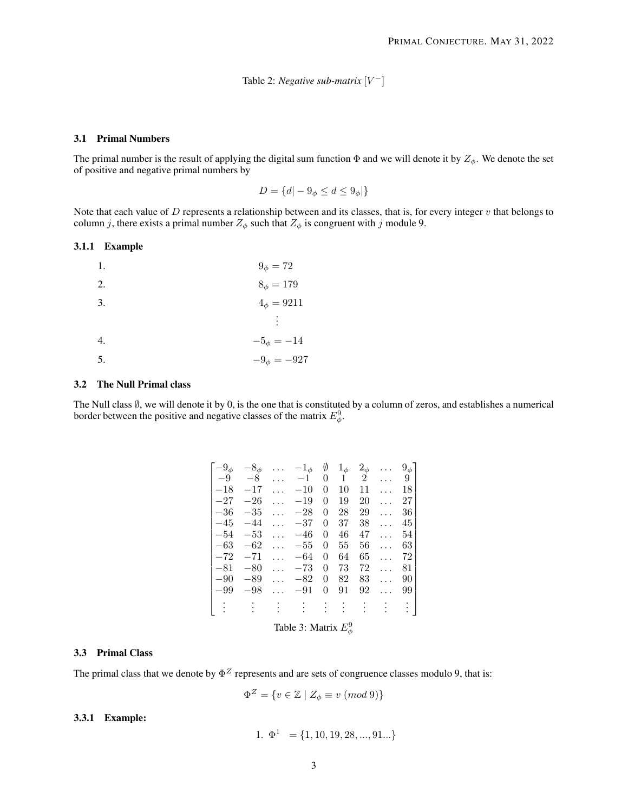Table 2: *Negative sub-matrix*  $[V<sup>-</sup>]$ 

#### 3.1 Primal Numbers

The primal number is the result of applying the digital sum function  $\Phi$  and we will denote it by  $Z_{\phi}$ . We denote the set of positive and negative primal numbers by

$$
D = \{d | -9_{\phi} \le d \le 9_{\phi}|\}
$$

Note that each value of  $D$  represents a relationship between and its classes, that is, for every integer  $v$  that belongs to column j, there exists a primal number  $Z_{\phi}$  such that  $Z_{\phi}$  is congruent with j module 9.

#### 3.1.1 Example

| 1. | $9_{\phi} = 72$         |
|----|-------------------------|
| 2. | $8_{\phi} = 179$        |
| 3. | $4_{\phi} = 9211$       |
|    | $\langle \cdot \rangle$ |
| 4. | $-5_{\phi} = -14$       |
| 5. | $-9_{\phi} = -927$      |

#### 3.2 The Null Primal class

The Null class ∅, we will denote it by 0, is the one that is constituted by a column of zeros, and establishes a numerical border between the positive and negative classes of the matrix  $E^9_\phi$ .

| - $9_{\phi}$ | $-8\phi$ | $-1_{\phi}$                | Ø              | $1_{\phi}$ | $2_\phi$ | $9_\phi$ |
|--------------|----------|----------------------------|----------------|------------|----------|----------|
| $-9$         | $-8$     | $^{-1}$                    | 0              | 1          | 2        | 9        |
| $^{-18}$     | $-17$    | $-10$                      | $\theta$       | 10         | 11       | 18       |
| $^{-27}$     | $-26$    | $^{-19}$                   | 0              | 19         | 20       | 27       |
| $^{-36}$     | $-35$    | $-28$                      | 0              | 28         | 29       | 36       |
| $^{-45}$     | $-44$    | $^{-37}$                   | $\overline{0}$ | 37         | 38       | 45       |
| $-54\,$      | $-53$    | $^{-46}$                   | 0              | 46         | 47       | 54       |
| -63          | $-62$    | $-55$                      | $\overline{0}$ | 55         | 56       | 63       |
| $-72$        | $-71$    | $-64$                      | 0              | 64         | 65       | 72       |
| $^{-81}$     | $-80$    | $-73$                      | 0              | 73         | 72       | 81       |
| $^{-90}$     | $-89$    | $-82$                      | $\overline{0}$ | 82         | 83       | 90       |
| -99          | $-98$    | $-91$                      | 0              | 91         | 92       | 99       |
|              |          |                            |                |            |          |          |
|              |          |                            |                |            |          |          |
|              |          | Table 3: Matrix $E^9_\phi$ |                |            |          |          |

#### 3.3 Primal Class

The primal class that we denote by  $\Phi^Z$  represents and are sets of congruence classes modulo 9, that is:

 $\Phi^Z = \{ v \in \mathbb{Z} \mid Z_{\phi} \equiv v \pmod{9} \}$ 

#### 3.3.1 Example:

1. 
$$
\Phi^1 = \{1, 10, 19, 28, ..., 91...\}
$$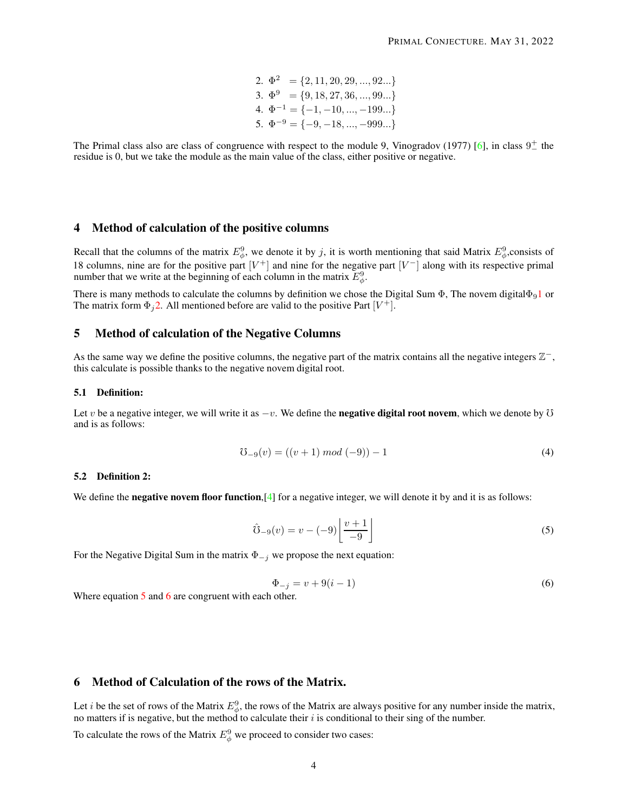2.  $\Phi^2 = \{2, 11, 20, 29, ..., 92...\}$ 3.  $\Phi^9 = \{9, 18, 27, 36, ..., 99...\}$ 4.  $\Phi^{-1} = \{-1, -10, ..., -199...\}$ 5.  $\Phi^{-9} = \{-9, -18, ..., -999...\}$ 

The Primal class also are class of congruence with respect to the module 9, Vinogradov (1977) [\[6\]](#page-11-3), in class  $9^+$  the residue is 0, but we take the module as the main value of the class, either positive or negative.

### 4 Method of calculation of the positive columns

Recall that the columns of the matrix  $E^9_\phi$ , we denote it by j, it is worth mentioning that said Matrix  $E^9_\phi$ , consists of 18 columns, nine are for the positive part  $[V^+]$  and nine for the negative part  $[V^-]$  along with its respective primal number that we write at the beginning of each column in the matrix  $E^9_\phi$ .

There is many methods to calculate the columns by definition we chose the Digital Sum Φ, The novem digitalΦ<sub>9</sub>[1](#page-1-0) or The matrix form  $\Phi_j$ [2.](#page-1-1) All mentioned before are valid to the positive Part  $[V^+]$ .

### 5 Method of calculation of the Negative Columns

As the same way we define the positive columns, the negative part of the matrix contains all the negative integers  $\mathbb{Z}^{-}$ , this calculate is possible thanks to the negative novem digital root.

#### 5.1 Definition:

Let v be a negative integer, we will write it as  $-v$ . We define the **negative digital root novem**, which we denote by U and is as follows:

$$
\mathfrak{V}_{-9}(v) = ((v+1) \bmod (-9)) - 1 \tag{4}
$$

#### 5.2 Definition 2:

<span id="page-3-0"></span>We define the **negative novem floor function**,  $[4]$  for a negative integer, we will denote it by and it is as follows:

$$
\hat{\mathbf{U}}_{-9}(v) = v - (-9) \left[ \frac{v+1}{-9} \right]
$$
\n(5)

<span id="page-3-1"></span>For the Negative Digital Sum in the matrix  $\Phi_{-i}$  we propose the next equation:

$$
\Phi_{-j} = v + 9(i - 1) \tag{6}
$$

Where equation [5](#page-3-0) and [6](#page-3-1) are congruent with each other.

## 6 Method of Calculation of the rows of the Matrix.

Let *i* be the set of rows of the Matrix  $E^9_\phi$ , the rows of the Matrix are always positive for any number inside the matrix, no matters if is negative, but the method to calculate their  $i$  is conditional to their sing of the number.

To calculate the rows of the Matrix  $E^9_\phi$  we proceed to consider two cases: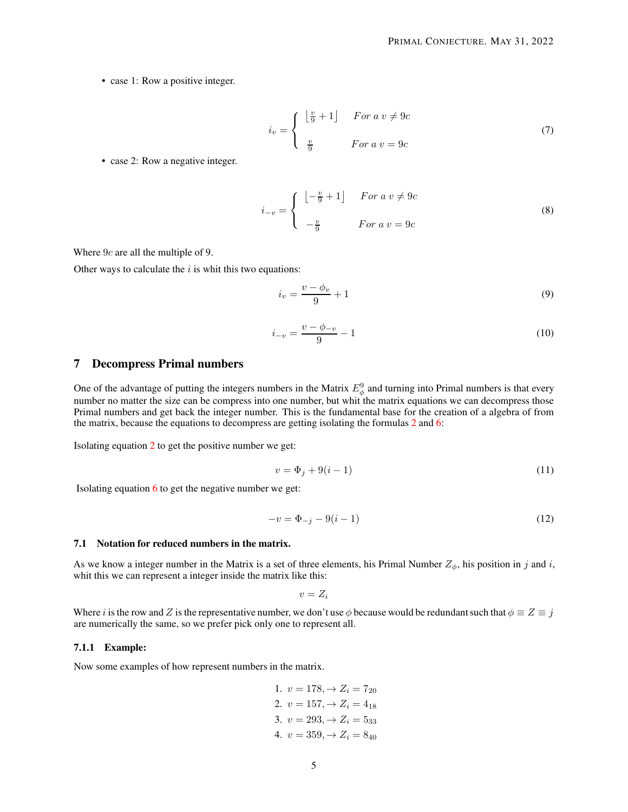• case 1: Row a positive integer.

$$
i_v = \begin{cases} \left\lfloor \frac{v}{9} + 1 \right\rfloor & For \ a \ v \neq 9c \\ \frac{v}{9} & For \ a \ v = 9c \end{cases}
$$
 (7)

• case 2: Row a negative integer.

$$
i_{-v} = \begin{cases} \left[ -\frac{v}{9} + 1 \right] & For \ a \ v \neq 9c \\ -\frac{v}{9} & For \ a \ v = 9c \end{cases}
$$
 (8)

Where 9c are all the multiple of 9.

Other ways to calculate the  $i$  is whit this two equations:

$$
i_v = \frac{v - \phi_v}{9} + 1\tag{9}
$$

$$
i_{-v} = \frac{v - \phi_{-v}}{9} - 1\tag{10}
$$

### 7 Decompress Primal numbers

One of the advantage of putting the integers numbers in the Matrix  $E^9_\phi$  and turning into Primal numbers is that every number no matter the size can be compress into one number, but whit the matrix equations we can decompress those Primal numbers and get back the integer number. This is the fundamental base for the creation of a algebra of from the matrix, because the equations to decompress are getting isolating the formulas [2](#page-1-1) and [6:](#page-3-1)

Isolating equation [2](#page-1-1) to get the positive number we get:

$$
v = \Phi_j + 9(i - 1)
$$
 (11)

Isolating equation [6](#page-3-1) to get the negative number we get:

$$
-v = \Phi_{-j} - 9(i-1) \tag{12}
$$

#### 7.1 Notation for reduced numbers in the matrix.

As we know a integer number in the Matrix is a set of three elements, his Primal Number  $Z_{\phi}$ , his position in j and i, whit this we can represent a integer inside the matrix like this:

$$
v = Z_i
$$

Where i is the row and Z is the representative number, we don't use  $\phi$  because would be redundant such that  $\phi \equiv Z \equiv j$ are numerically the same, so we prefer pick only one to represent all.

#### 7.1.1 Example:

Now some examples of how represent numbers in the matrix.

1. 
$$
v = 178, \rightarrow Z_i = 7_{20}
$$
  
\n2.  $v = 157, \rightarrow Z_i = 4_{18}$   
\n3.  $v = 293, \rightarrow Z_i = 5_{33}$   
\n4.  $v = 359, \rightarrow Z_i = 8_{40}$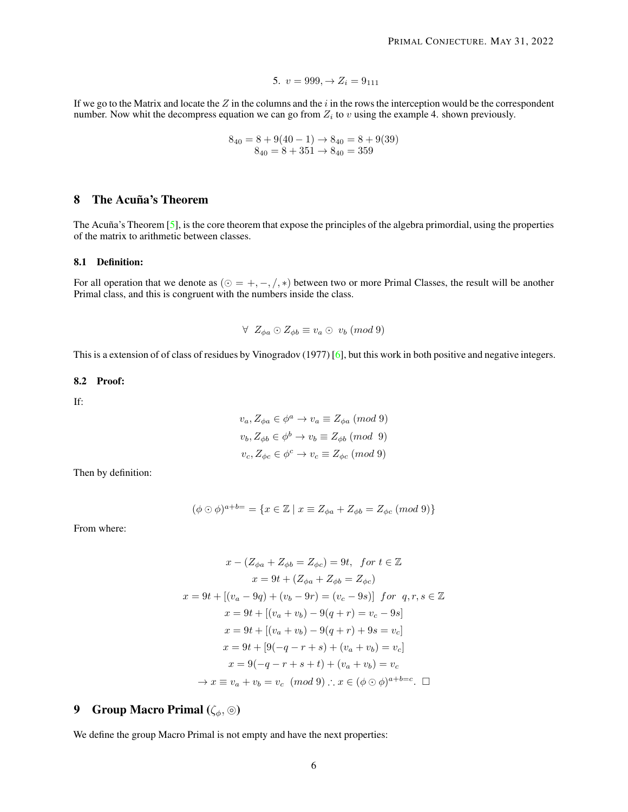5. 
$$
v = 999, \rightarrow Z_i = 9_{111}
$$

If we go to the Matrix and locate the  $Z$  in the columns and the  $i$  in the rows the interception would be the correspondent number. Now whit the decompress equation we can go from  $Z_i$  to v using the example 4. shown previously.

$$
8_{40} = 8 + 9(40 - 1) \rightarrow 8_{40} = 8 + 9(39)
$$
  

$$
8_{40} = 8 + 351 \rightarrow 8_{40} = 359
$$

## <span id="page-5-0"></span>8 The Acuña's Theorem

The Acuña's Theorem [\[5\]](#page-11-0), is the core theorem that expose the principles of the algebra primordial, using the properties of the matrix to arithmetic between classes.

#### 8.1 Definition:

For all operation that we denote as  $(③ = +, -, /, *)$  between two or more Primal Classes, the result will be another Primal class, and this is congruent with the numbers inside the class.

$$
\forall Z_{\phi a} \odot Z_{\phi b} \equiv v_a \odot v_b \ (mod \ 9)
$$

This is a extension of of class of residues by Vinogradov (1977) [\[6\]](#page-11-3), but this work in both positive and negative integers.

#### 8.2 Proof:

If:

$$
v_a, Z_{\phi a} \in \phi^a \to v_a \equiv Z_{\phi a} \pmod{9}
$$
  

$$
v_b, Z_{\phi b} \in \phi^b \to v_b \equiv Z_{\phi b} \pmod{9}
$$
  

$$
v_c, Z_{\phi c} \in \phi^c \to v_c \equiv Z_{\phi c} \pmod{9}
$$

Then by definition:

$$
(\phi \odot \phi)^{a+b=} = \{ x \in \mathbb{Z} \mid x \equiv Z_{\phi a} + Z_{\phi b} = Z_{\phi c} \ (mod \ 9) \}
$$

From where:

$$
x - (Z_{\phi a} + Z_{\phi b} = Z_{\phi c}) = 9t, \quad \text{for } t \in \mathbb{Z}
$$
\n
$$
x = 9t + (Z_{\phi a} + Z_{\phi b} = Z_{\phi c})
$$
\n
$$
x = 9t + [(v_a - 9q) + (v_b - 9r) = (v_c - 9s)] \quad \text{for } q, r, s \in \mathbb{Z}
$$
\n
$$
x = 9t + [(v_a + v_b) - 9(q + r) = v_c - 9s]
$$
\n
$$
x = 9t + [(v_a + v_b) - 9(q + r) + 9s = v_c]
$$
\n
$$
x = 9t + [9(-q - r + s) + (v_a + v_b) = v_c]
$$
\n
$$
x = 9(-q - r + s + t) + (v_a + v_b) = v_c
$$
\n
$$
\rightarrow x \equiv v_a + v_b = v_c \quad (\text{mod } 9) \therefore x \in (\phi \odot \phi)^{a+b=c}. \quad \Box
$$

## 9 Group Macro Primal  $(\zeta_{\phi}, \circledcirc)$

We define the group Macro Primal is not empty and have the next properties: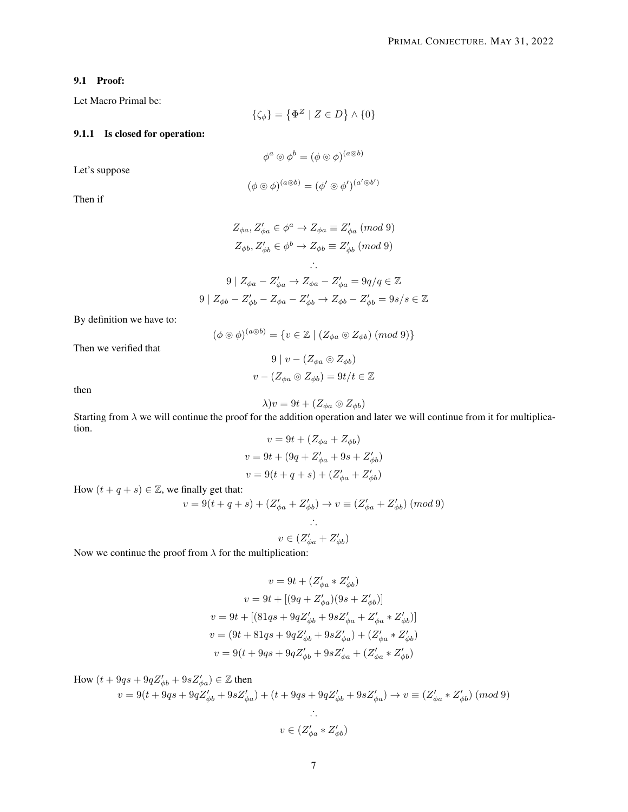### 9.1 Proof:

Let Macro Primal be:

$$
\{\zeta_{\phi}\} = \left\{\Phi^Z \mid Z \in D\right\} \wedge \{0\}
$$

### 9.1.1 Is closed for operation:

Let's suppose

$$
(\phi \circledcirc \phi)^{(a \circledcirc b)} = (\phi' \circledcirc \phi')^{(a' \circledcirc b')}
$$

 $\phi^a \circledcirc \phi^b = (\phi \circledcirc \phi)^{(a \circledcirc b)}$ 

Then if

$$
Z_{\phi a}, Z'_{\phi a} \in \phi^a \to Z_{\phi a} \equiv Z'_{\phi a} \pmod{9}
$$
  
\n
$$
Z_{\phi b}, Z'_{\phi b} \in \phi^b \to Z_{\phi b} \equiv Z'_{\phi b} \pmod{9}
$$
  
\n
$$
\therefore
$$
  
\n
$$
9 \mid Z_{\phi a} - Z'_{\phi a} \to Z_{\phi a} - Z'_{\phi a} = 9q/q \in \mathbb{Z}
$$
  
\n
$$
9 \mid Z_{\phi b} - Z'_{\phi b} - Z_{\phi a} - Z'_{\phi b} \to Z_{\phi b} - Z'_{\phi b} = 9s/s \in \mathbb{Z}
$$

By definition we have to:

 $(\phi \circ \phi)^{(a \circledcirc b)} = \{v \in \mathbb{Z} \mid (Z_{\phi a} \circledcirc Z_{\phi b}) \pmod{9}\}$ 

Then we verified that

$$
9 \mid v - (Z_{\phi a} \circledcirc Z_{\phi b})
$$

$$
v - (Z_{\phi a} \circledcirc Z_{\phi b}) = 9t/t \in \mathbb{Z}
$$

then

$$
\lambda)v = 9t + (Z_{\phi a} \circ Z_{\phi b})
$$

Starting from  $\lambda$  we will continue the proof for the addition operation and later we will continue from it for multiplication.

$$
v = 9t + (Z_{\phi a} + Z_{\phi b})
$$
  

$$
v = 9t + (9q + Z'_{\phi a} + 9s + Z'_{\phi b})
$$
  

$$
v = 9(t + q + s) + (Z'_{\phi a} + Z'_{\phi b})
$$

How  $(t + q + s) \in \mathbb{Z}$ , we finally get that:

$$
v = 9(t+q+s) + (Z'_{\phi a} + Z'_{\phi b}) \to v \equiv (Z'_{\phi a} + Z'_{\phi b}) \pmod{9}
$$
  
 
$$
\therefore
$$
  
 
$$
v \in (Z'_{\phi a} + Z'_{\phi b})
$$

Now we continue the proof from  $\lambda$  for the multiplication:

$$
v = 9t + (Z'_{\phi a} * Z'_{\phi b})
$$
  
\n
$$
v = 9t + [(9q + Z'_{\phi a})(9s + Z'_{\phi b})]
$$
  
\n
$$
v = 9t + [(81qs + 9qZ'_{\phi b} + 9sZ'_{\phi a} + Z'_{\phi a} * Z'_{\phi b})]
$$
  
\n
$$
v = (9t + 81qs + 9qZ'_{\phi b} + 9sZ'_{\phi a}) + (Z'_{\phi a} * Z'_{\phi b})
$$
  
\n
$$
v = 9(t + 9qs + 9qZ'_{\phi b} + 9sZ'_{\phi a} + (Z'_{\phi a} * Z'_{\phi b})
$$

How  $(t + 9qs + 9qZ'_{\phi b} + 9sZ'_{\phi a}) \in \mathbb{Z}$  then  $v = 9(t + 9qs + 9qZ'_{\phi b} + 9sZ'_{\phi a}) + (t + 9qs + 9qZ'_{\phi b} + 9sZ'_{\phi a}) \rightarrow v \equiv (Z'_{\phi a} * Z'_{\phi b}) \pmod{9}$ ∴  $v \in (Z'_{\phi a} * Z'_{\phi b})$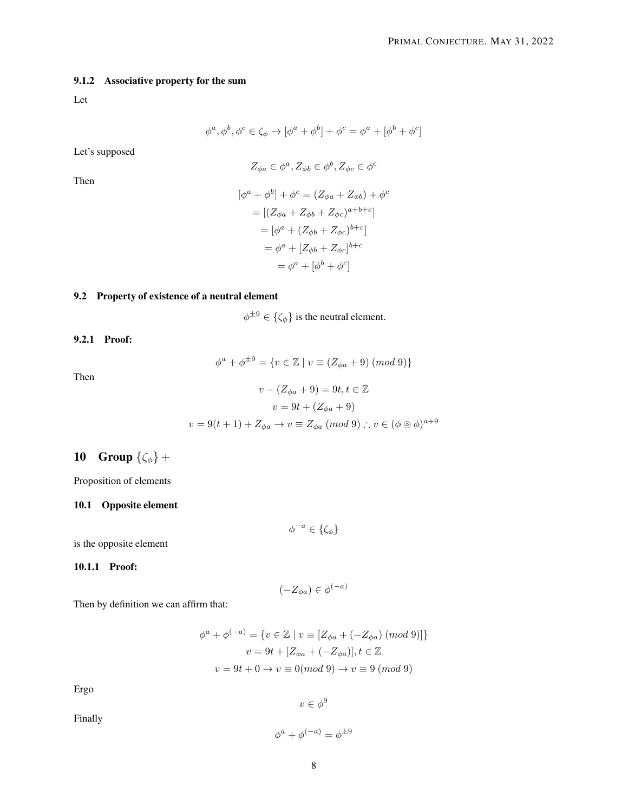## 9.1.2 Associative property for the sum

Let

$$
\phi^a, \phi^b, \phi^c \in \zeta_\phi \rightarrow [\phi^a + \phi^b] + \phi^c = \phi^a + [\phi^b + \phi^c]
$$

Let's supposed

$$
Z_{\phi a} \in \phi^a, Z_{\phi b} \in \phi^b, Z_{\phi c} \in \phi^c
$$

Then

$$
[\phi^{a} + \phi^{b}] + \phi^{c} = (Z_{\phi a} + Z_{\phi b}) + \phi^{c}
$$
  
= [(Z\_{\phi a} + Z\_{\phi b} + Z\_{\phi c})^{a+b+c}]  
= [\phi^{a} + (Z\_{\phi b} + Z\_{\phi c})^{b+c}]  
= \phi^{a} + [Z\_{\phi b} + Z\_{\phi c}]^{b+c}  
= \phi^{a} + [\phi^{b} + \phi^{c}]

## 9.2 Property of existence of a neutral element

 $\phi^{\pm 9} \in {\{\zeta_{\phi}\}}$  is the neutral element.

9.2.1 Proof:

Then

$$
\phi^a + \phi^{\pm 9} = \{ v \in \mathbb{Z} \mid v \equiv (Z_{\phi a} + 9) \pmod{9} \}
$$

$$
v - (Z_{\phi a} + 9) = 9t, t \in \mathbb{Z}
$$

$$
v = 9t + (Z_{\phi a} + 9)
$$

$$
v = 9(t + 1) + Z_{\phi a} \rightarrow v \equiv Z_{\phi a} \pmod{9} \therefore v \in (\phi \circ \phi)^{a+9}
$$

# 10 Group  $\{\zeta_{\phi}\}$  +

Proposition of elements

## 10.1 Opposite element

 $\phi^{-a} \in {\{\zeta_{\phi}\}}$ 

is the opposite element

10.1.1 Proof:

$$
(-Z_{\phi a}) \in \phi^{(-a)}
$$

Then by definition we can affirm that:

$$
\phi^{a} + \phi^{(-a)} = \{v \in \mathbb{Z} \mid v \equiv [Z_{\phi a} + (-Z_{\phi a}) \pmod{9}] \}
$$

$$
v = 9t + [Z_{\phi a} + (-Z_{\phi a})], t \in \mathbb{Z}
$$

$$
v = 9t + 0 \to v \equiv 0 \pmod{9} \to v \equiv 9 \pmod{9}
$$

Ergo

 $v \in \phi^9$ 

Finally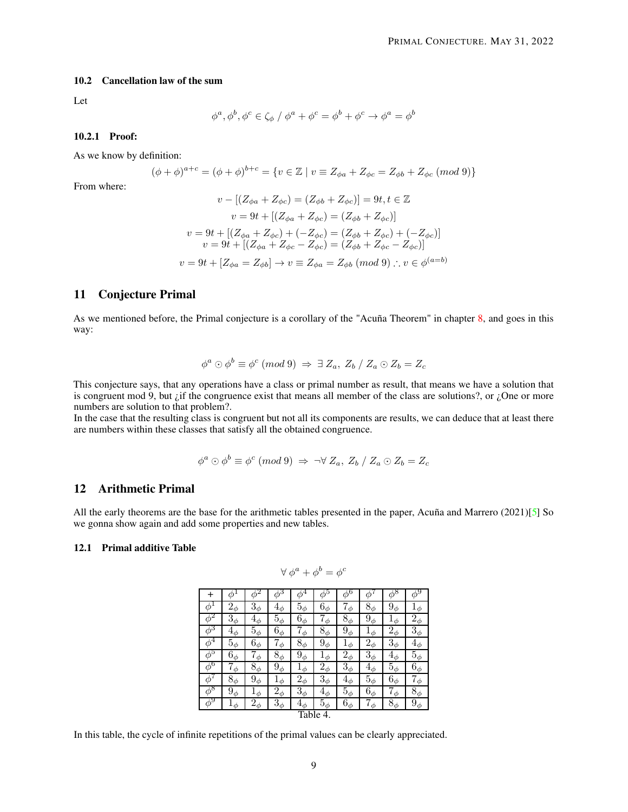#### 10.2 Cancellation law of the sum

Let

$$
\phi^a, \phi^b, \phi^c \in \zeta_\phi \; / \; \phi^a + \phi^c = \phi^b + \phi^c \to \phi^a = \phi^b
$$

#### 10.2.1 Proof:

As we know by definition:

$$
(\phi + \phi)^{a+c} = (\phi + \phi)^{b+c} = \{ v \in \mathbb{Z} \mid v \equiv Z_{\phi a} + Z_{\phi c} = Z_{\phi b} + Z_{\phi c} \pmod{9} \}
$$

From where:

$$
v - [(Z_{\phi a} + Z_{\phi c}) = (Z_{\phi b} + Z_{\phi c})] = 9t, t \in \mathbb{Z}
$$
  

$$
v = 9t + [(Z_{\phi a} + Z_{\phi c}) = (Z_{\phi b} + Z_{\phi c})]
$$
  

$$
v = 9t + [(Z_{\phi a} + Z_{\phi c}) + (-Z_{\phi c}) = (Z_{\phi b} + Z_{\phi c}) + (-Z_{\phi c})]
$$
  

$$
v = 9t + [(Z_{\phi a} + Z_{\phi c} - Z_{\phi c}) = (Z_{\phi b} + Z_{\phi c} - Z_{\phi c})]
$$
  

$$
v = 9t + [Z_{\phi a} = Z_{\phi b}] \rightarrow v \equiv Z_{\phi a} = Z_{\phi b} \pmod{9} \therefore v \in \phi^{(a=b)}
$$

### 11 Conjecture Primal

As we mentioned before, the Primal conjecture is a corollary of the "Acuña Theorem" in chapter [8,](#page-5-0) and goes in this way:

$$
\phi^a \odot \phi^b \equiv \phi^c \ (mod \ 9) \ \Rightarrow \ \exists \ Z_a, \ Z_b \ / \ Z_a \odot Z_b = Z_c
$$

This conjecture says, that any operations have a class or primal number as result, that means we have a solution that is congruent mod 9, but *i*f the congruence exist that means all member of the class are solutions?, or *i*One or more numbers are solution to that problem?.

In the case that the resulting class is congruent but not all its components are results, we can deduce that at least there are numbers within these classes that satisfy all the obtained congruence.

$$
\phi^a \odot \phi^b \equiv \phi^c \ (mod \ 9) \ \Rightarrow \ \neg \forall \ Z_a, \ Z_b \ / \ Z_a \odot Z_b = Z_c
$$

### 12 Arithmetic Primal

All the early theorems are the base for the arithmetic tables presented in the paper, Acuña and Marrero (2021)[\[5\]](#page-11-0) So we gonna show again and add some properties and new tables.

#### 12.1 Primal additive Table

$$
\forall \phi^a + \phi^b = \phi^c
$$

| $^+$     | Ф            | $\overline{\phi^2}$ | $\phi^3$    | $\phi^4$   | $\phi^5$     | $\phi^6$   | φ          | $\phi^8$   | $\phi^9$           |
|----------|--------------|---------------------|-------------|------------|--------------|------------|------------|------------|--------------------|
| φ        | $2_{\phi}$   | $3_{\phi}$          | $4_{\phi}$  | $5_{\phi}$ | $6_{\phi}$   | $7_{\phi}$ | $8_{\phi}$ | $9_{\phi}$ | $1_{\phi}$         |
| $\phi^2$ | $3_{\phi}$   | $4_{\phi}$          | $5_{\phi}$  | $6_{\phi}$ | 7.<br>$\phi$ | $8_{\phi}$ | $9_{\phi}$ | $1_{\phi}$ | $2\overline{\phi}$ |
| $\phi^3$ | $4_{\phi}$   | $5_{\phi}$          | $6_{\phi}$  | $7_{\phi}$ | $8_{\phi}$   | $9_{\phi}$ | $1_{\phi}$ | $2_{\phi}$ | $3_{\phi}$         |
| $\phi^4$ | $5_{\phi}$   | $6_{\phi}$          | $7_{\phi}$  | $8_{\phi}$ | $9_{\phi}$   | $1_{\phi}$ | $2_{\phi}$ | $3_{\phi}$ | $4_{\phi}$         |
| $\phi^5$ | $6_{\phi}$   | $7_{\phi}$          | $8_{\phi}$  | $9_{\phi}$ | $1_{\phi}$   | $2_{\phi}$ | $3_{\phi}$ | $4_{\phi}$ | $5_{\phi}$         |
| $\phi^6$ | 7.<br>$\phi$ | $8_{\phi}$          | $9_{\phi}$  | $1_\phi$   | $2_{\phi}$   | $3_{\phi}$ | $4_{\phi}$ | $5_{\phi}$ | $6_{\phi}$         |
| Φ        | $8_{\phi}$   | $9_{\phi}$          | 1<br>$\phi$ | $2_{\phi}$ | $3_{\phi}$   | $4_{\phi}$ | $5_{\phi}$ | $6_{\phi}$ | $7_{\phi}$         |
| $\phi^8$ | $9_{\phi}$   | $1_{\phi}$          | $2_{\phi}$  | $3_{\phi}$ | $4_{\phi}$   | $5_{\phi}$ | $6_{\phi}$ | $7_{\phi}$ | $8_{\phi}$         |
| $\phi^9$ | $1_{\phi}$   | $2_{\phi}$          | $3_{\phi}$  | $4_{\phi}$ | $5_{\phi}$   | $6_{\phi}$ | $7_{\phi}$ | $8_{\phi}$ | $9_{\phi}$         |
|          |              |                     |             |            | Table 4.     |            |            |            |                    |

In this table, the cycle of infinite repetitions of the primal values can be clearly appreciated.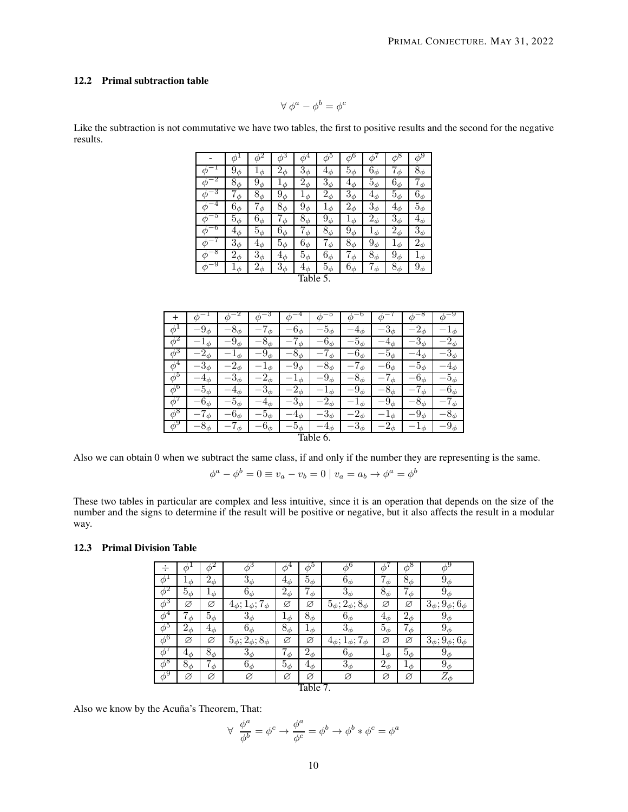## 12.2 Primal subtraction table

$$
\forall \phi^a - \phi^b = \phi^c
$$

Like the subtraction is not commutative we have two tables, the first to positive results and the second for the negative results.

|        |            | Ф          | ζ3<br>Ф    | $\cdot^4$<br>Ф | $\phi^5$   | $\phi^6$   | Φ          | Ф           | ر پ        |
|--------|------------|------------|------------|----------------|------------|------------|------------|-------------|------------|
|        | $9_{\phi}$ | $\phi$     | $2_{\phi}$ | $3_{\phi}$     | $4_{\phi}$ | $5_{\phi}$ | $6_{\phi}$ | 7<br>$\phi$ | $8_{\phi}$ |
|        | $8_{\phi}$ | $9_{\phi}$ | $1_\phi$   | $2_{\phi}$     | $3_{\phi}$ | $4_{\phi}$ | $5_{\phi}$ | $6\phi$     | $7_{\phi}$ |
| 3      | $\phi$     | $8_{\phi}$ | $9_{\phi}$ | $\phi$         | $2_{\phi}$ | $3_{\phi}$ | $4_{\phi}$ | $5_{\phi}$  | $6_{\phi}$ |
| ⋔      | $6_{\phi}$ | $7_{\phi}$ | $8_{\phi}$ | $9_\phi$       | $1_{\phi}$ | $2_{\phi}$ | $3_{\phi}$ | $4_{\phi}$  | $5_{\phi}$ |
| ð      | $5_{\phi}$ | $6_{\phi}$ | $7_\phi$   | $8_{\phi}$     | $9_{\phi}$ | $1_{\phi}$ | $2_{\phi}$ | $3_{\phi}$  | $4_{\phi}$ |
| 6<br>Ф | $4_{\phi}$ | $5_{\phi}$ | $6\phi$    | $7_{\phi}$     | $8_{\phi}$ | $9_{\phi}$ | $1_\phi$   | $2_{\phi}$  | $3_{\phi}$ |
|        | $3_{\phi}$ | $4_{\phi}$ | $5_{\phi}$ | $6_{\phi}$     | $7_\phi$   | $8_{\phi}$ | $9_{\phi}$ | $1_\phi$    | $2_\phi$   |
|        | $2_{\phi}$ | $3_{\phi}$ | $4_{\phi}$ | $5_{\phi}$     | $6_{\phi}$ | $7_{\phi}$ | $8_{\phi}$ | $9_{\phi}$  | $1_{\phi}$ |
| -9     | $\phi$     | $2_{\phi}$ | $3_{\phi}$ | $4_{\phi}$     | $5_\phi$   | $6_{\phi}$ | Φ          | $8_{\phi}$  | $9_{\phi}$ |
|        |            |            |            | Table 5.       |            |            |            |             |            |

|                | Ф                         | ╖                    | Φ                         | σ                                  | Φ               | ±φ         | .,<br>σ              | ∠ക             | Φ         |
|----------------|---------------------------|----------------------|---------------------------|------------------------------------|-----------------|------------|----------------------|----------------|-----------|
| C.             | ω                         | 9<br>$\phi$          | റ<br>Ф                    | $\phi$                             | ∩<br>Φ          | G<br>Φ     | σ                    | $\sigma$       | ലന        |
| $\phi^3$       | ച<br>$\mathcal{L}_{\phi}$ | Φ                    | 9<br>'ф                   | ◠<br>Φ                             | Φ               | n<br>' ch  | Ð<br>Φ               | $\pm$ $\sigma$ | IJ<br>' Ф |
| 4<br>Ф         | Ő<br>Ф                    | $\mathcal{L}_{\phi}$ | Φ                         | - $9_{\phi}$                       | O<br>Φ          | $\phi$     | D<br>Φ               | Φ              | đ.        |
| $\phi^{\rm b}$ |                           |                      | ∩<br>$\mathcal{L}_{\phi}$ | ⋔                                  | Φ               | n<br>Φ     | Φ                    |                |           |
| . O<br>Φ       | m                         | $\pm_{\mathcal{O}}$  | υ<br>σ                    | $\epsilon$<br>$\mathcal{L}_{\phi}$ | Φ               | $9_{\phi}$ | O<br>σ               | Φ              | ø         |
|                | C<br>Φ                    | Φ                    | m                         | σ                                  | $\omega_{\phi}$ | Φ          | 9<br>Φ               | ╖              | σ         |
| $\phi^8$       | Φ                         | Φ                    | ω                         | $\pm_{\phi}$                       | Φ               | $4\phi$    | Φ                    | Φ              | σ.        |
| $\phi^9$       | m                         | Φ                    | m                         |                                    |                 | ◡<br>' ch  | $\mathcal{L}_{\phi}$ | Φ              | 9<br>Φ    |
|                |                           |                      |                           |                                    | Table 6.        |            |                      |                |           |

Also we can obtain 0 when we subtract the same class, if and only if the number they are representing is the same.

$$
\phi^a - \phi^b = 0 \equiv v_a - v_b = 0 \mid v_a = a_b \rightarrow \phi^a = \phi^b
$$

These two tables in particular are complex and less intuitive, since it is an operation that depends on the size of the number and the signs to determine if the result will be positive or negative, but it also affects the result in a modular way.

## 12.3 Primal Division Table

| ÷               |            |            | $\phi^3$                                     | $\phi^4$     | $\phi^{\rm b}$ | ιб                                                      |            | ιö<br>⋔    | $\phi^9$                                |
|-----------------|------------|------------|----------------------------------------------|--------------|----------------|---------------------------------------------------------|------------|------------|-----------------------------------------|
| (/)             | Φ          | $2_{\phi}$ | $3_{\phi}$                                   | $4_{\phi}$   | $5_{\phi}$     | 6<br>Φ                                                  | $\phi$     | $8_\phi$   | $9_{\phi}$                              |
| 71              | $5_{\phi}$ | Φ          | 6<br>' Ф                                     | ച<br>$4\phi$ | 7<br>Φ         | 3<br>Ф                                                  | $8_{\phi}$ | ⇁<br>Φ     | 9<br>Φ                                  |
| $\phi^3$        | Ø          | Ø          | $4_{\phi}$<br>$\phi$                         | Ø            | Ø              | $\cdot: 2_{\phi}$ .<br>$\cdot 8_{\phi}$<br>$5_{\phi}$ ; | Ø          | Ø          | $3_{\phi}$<br>$9_{\phi}$ ; 6 $_{\phi}$  |
| $\phi^4$        | Φ          | $5_{\phi}$ | $3_{\phi}$                                   | Φ            | $8_{\phi}$     | b<br>' (D                                               | $4_{\phi}$ | $2_{\phi}$ | $9_{\phi}$                              |
| $\phi^{\rm b}$  | $2_{\phi}$ | $4\phi$    | $6_\phi$                                     | $8_{\phi}$   | Φ              | 3<br>' Ф                                                | $5_{\phi}$ | $\phi$     | 96                                      |
| $\phi^6$        | Ø          | Ø          | $5_{\phi}$<br>$2_{\phi}$<br>$\cdot 8_{\phi}$ | Ø            | Ø              | $7_{\phi}$<br>$\phi$ ,<br>σ                             | Ø          | Ø          | $3_{\phi}$ ;<br>$9_{\phi}$ ; $6_{\phi}$ |
| (1)             | $4_{\phi}$ | $8_{\phi}$ | $3_{\phi}$                                   | Φ            | $2_{\phi}$     | $\mathfrak{b}_{\phi}$                                   | ∙ ∂        | $5_{\phi}$ | $9_{\phi}$                              |
| $\phi^{\delta}$ | $8_\phi$   | 7<br>Φ     | $6_\phi$                                     | $5_{\phi}$   | $4_{\phi}$     | $3_{\phi}$                                              | ച<br>∠ժ    | ∙ ∂        | $9_{\phi}$                              |
| $\phi^9$        | Ø          | Ø          | Ø                                            | Ø            | Ø              | Ø                                                       | Ø          | Ø          | $Z_\phi$                                |
|                 |            |            |                                              |              | Table 7.       |                                                         |            |            |                                         |

Also we know by the Acuña's Theorem, That:

$$
\forall \frac{\phi^a}{\phi^b} = \phi^c \rightarrow \frac{\phi^a}{\phi^c} = \phi^b \rightarrow \phi^b * \phi^c = \phi^a
$$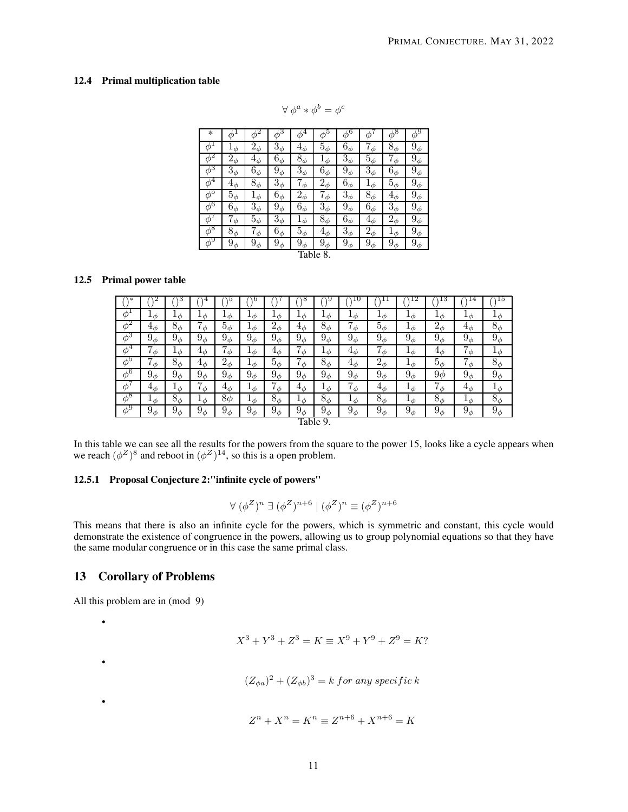### 12.4 Primal multiplication table

$$
\forall \phi^a * \phi^b = \phi^c
$$

| ∗        |                    |            | $\phi^3$   | $\phi^4$   | $\phi^5$   | O          |            | ۱Ś.        |            |
|----------|--------------------|------------|------------|------------|------------|------------|------------|------------|------------|
|          | φ                  | $2_{\phi}$ | $3_{\phi}$ | $4_{\phi}$ | $5_{\phi}$ | $6_{\phi}$ | 7<br>Φ     | $8_{\phi}$ | $9_{\phi}$ |
| ⋔        | $2\overline{\phi}$ | $4_{\phi}$ | $6_{\phi}$ | $8_{\phi}$ | $\phi$     | $3_{\phi}$ | $5_{\phi}$ | $7_\phi$   | $9_{\phi}$ |
| $\phi^3$ | $3_{\phi}$         | $6_{\phi}$ | $9_{\phi}$ | $3_{\phi}$ | $6_{\phi}$ | $9_{\phi}$ | $3_{\phi}$ | $6\phi$    | $9_{\phi}$ |
| $\phi^4$ | $4_{\phi}$         | $8_{\phi}$ | $3_{\phi}$ | $7_{\phi}$ | $2_{\phi}$ | $6_{\phi}$ | $1_\phi$   | $5_{\phi}$ | $9_{\phi}$ |
| $\phi^5$ | $5_{\phi}$         | $1_{\phi}$ | $6_{\phi}$ | $2_{\phi}$ | $\phi$     | $3_{\phi}$ | $8_{\phi}$ | $4_{\phi}$ | $9_\phi$   |
| $\phi^6$ | $6_{\phi}$         | $3_{\phi}$ | $9_{\phi}$ | $6_{\phi}$ | $3_\phi$   | $9_\phi$   | $6_{\phi}$ | $3_{\phi}$ | $9_{\phi}$ |
| $\phi'$  | $7\phi$            | $5_{\phi}$ | $3_{\phi}$ | $1_{\phi}$ | $8_{\phi}$ | $6\phi$    | $4_{\phi}$ | $2_{\phi}$ | $9_{\phi}$ |
| $\phi^8$ | $8_{\phi}$         | $\phi$     | $6_{\phi}$ | $5_{\phi}$ | $4_{\phi}$ | $3_{\phi}$ | $2_{\phi}$ | $1_\phi$   | $9_{\phi}$ |
| $\phi^9$ | $9_{\phi}$         | $9_{\phi}$ | $9_{\phi}$ | $9_\phi$   | $9_{\phi}$ | $9_\phi$   | $9_{\phi}$ | $9_{\phi}$ | $9_{\phi}$ |
|          |                    |            |            |            | Table 8.   |            |            |            |            |

### 12.5 Primal power table

| *                          |             |             | 4                   | Ð             |         |            | $\circ$        | У          |                        |             | 12         | 13             | 4                   | Ţр             |
|----------------------------|-------------|-------------|---------------------|---------------|---------|------------|----------------|------------|------------------------|-------------|------------|----------------|---------------------|----------------|
| Ф                          | ⊥ற          | $\pm \phi$  | $\phi$              | $\Delta \phi$ | Φ       | Φ<br>ᅩ     | Φ              | ⊥ற         | $\pm \phi$             | ⊥ற          | Φ          | ⊥∌             | $\Delta \phi$       | $\pm \phi$     |
| - 67<br>∠<br>$\varnothing$ | $4_{\phi}$  | $8_\phi$    | 7<br>$\phi$         | $5_{\phi}$    | ு       | $2_{\phi}$ | $4\phi$        | $8_{\phi}$ | $\mathbf{r}$<br>$\phi$ | $5_{\phi}$  | Φ<br>ᅩ     | $\Omega$<br>∠φ | $4_{\phi}$          | $8_{\phi}$     |
| $\phi^3$                   | $9\phi$     | $9_{\phi}$  | 9<br>Φ              | $9_{\phi}$    | 9<br>Φ  | $9_{\phi}$ | $9_{\phi}$     | $9_{\phi}$ | $9_{\phi}$             | $9_{\phi}$  | $9_{\phi}$ | $9_{\phi}$     | $9_{\phi}$          | $9_{\phi}$     |
| $\phi^4$                   | 7<br>$\phi$ | $\pm \phi$  | $4_{\phi}$          | $\phi$        | ு       | $4_{\phi}$ | ד<br>$\phi$    | ு          | $4_{\phi}$             | 7<br>$\phi$ | Φ<br>┸     | $4_{\phi}$     | 7<br>$\iota$        | $\perp_{\phi}$ |
| $\phi^5$                   | 7<br>$\phi$ | $8_{\phi}$  | $4_{\phi}$          | $2_{\phi}$    | ு       | $5_{\phi}$ | 7<br>$\phi$    | $8_{\phi}$ | $4_{\phi}$             | $2_{\phi}$  | Φ          | $5_{\phi}$     | 7<br>$\iota_{\phi}$ | $8_{\phi}$     |
| $\phi^{\rm o}$             | $9_{\phi}$  | 9<br>$\phi$ | 9<br>Φ              | $9_{\phi}$    | 9<br>Φ  | $9_{\phi}$ | $9_{\phi}$     | $9_{\phi}$ | $9_{\phi}$             | $9_{\phi}$  | $9_{\phi}$ | 9φ             | $9_{\phi}$          | $9_{\phi}$     |
| Φ                          | $4_{\phi}$  | $\pm \phi$  | $\phi$              | $4_{\phi}$    | ு       | Φ          | 4 <sub>o</sub> | Lф         | ד<br>$\phi$            | $4\phi$     | Φ          | Φ              | $4_{\phi}$          | $\pm \phi$     |
| $\phi^8$                   | ு           | $8_{\phi}$  | ு                   | 8φ            | ு       | $8_{\phi}$ | ு ∉            | $8_{\phi}$ | $\mathbf{1}_{\phi}$    | $8_{\phi}$  | Φ<br>ᅩ     | $8_{\phi}$     | ு                   | $8_{\phi}$     |
| $\phi^9$                   | $9\phi$     | 9<br>$\phi$ | 9 <sub>c</sub><br>Φ | $9_{\phi}$    | $9\phi$ | $9_{\phi}$ | $9_{\phi}$     | $9_{\phi}$ | $9_{\phi}$             | $9_{\phi}$  | 9<br>Φ     | $9_{\phi}$     | $9_{\phi}$          | $9_{\phi}$     |
|                            |             |             |                     |               |         |            | Table 9.       |            |                        |             |            |                |                     |                |

In this table we can see all the results for the powers from the square to the power 15, looks like a cycle appears when we reach  $(\phi^Z)^8$  and reboot in  $(\phi^Z)^{14}$ , so this is a open problem.

### 12.5.1 Proposal Conjecture 2:"infinite cycle of powers"

$$
\forall (\phi^Z)^n \ \exists (\phi^Z)^{n+6} \mid (\phi^Z)^n \equiv (\phi^Z)^{n+6}
$$

This means that there is also an infinite cycle for the powers, which is symmetric and constant, this cycle would demonstrate the existence of congruence in the powers, allowing us to group polynomial equations so that they have the same modular congruence or in this case the same primal class.

### 13 Corollary of Problems

All this problem are in (mod 9)

$$
X^3 + Y^3 + Z^3 = K \equiv X^9 + Y^9 + Z^9 = K?
$$

•

•

•

$$
(Z_{\phi a})^2 + (Z_{\phi b})^3 = k \text{ for any specific } k
$$

 $Z^{n} + X^{n} = K^{n} \equiv Z^{n+6} + X^{n+6} = K$